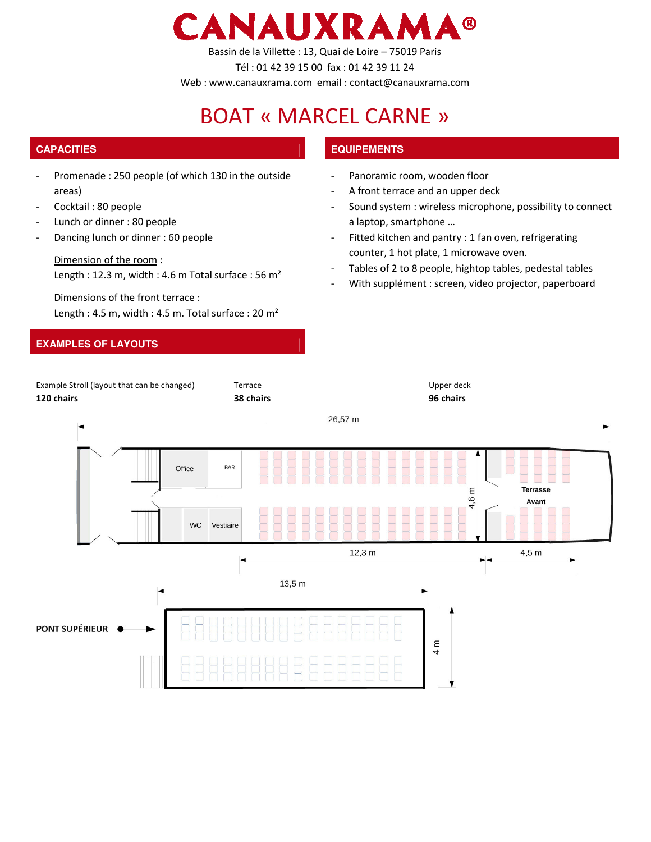

Bassin de la Villette : 13, Quai de Loire – 75019 Paris

Tél : 01 42 39 15 00 fax : 01 42 39 11 24

Web : www.canauxrama.com email : contact@canauxrama.com

# BOAT « MARCEL CARNE »

# **CAPACITIES EQUIPEMENTS**

- Promenade : 250 people (of which 130 in the outside areas)
- Cocktail: 80 people
- Lunch or dinner : 80 people
- Dancing lunch or dinner : 60 people

#### Dimension of the room :

Length : 12.3 m, width : 4.6 m Total surface : 56 m²

Dimensions of the front terrace : Length : 4.5 m, width : 4.5 m. Total surface : 20 m<sup>2</sup>

## **EXAMPLES OF LAYOUTS**

- Panoramic room, wooden floor
- A front terrace and an upper deck
- Sound system : wireless microphone, possibility to connect a laptop, smartphone …
- Fitted kitchen and pantry : 1 fan oven, refrigerating counter, 1 hot plate, 1 microwave oven.
- Tables of 2 to 8 people, hightop tables, pedestal tables
- With supplément : screen, video projector, paperboard